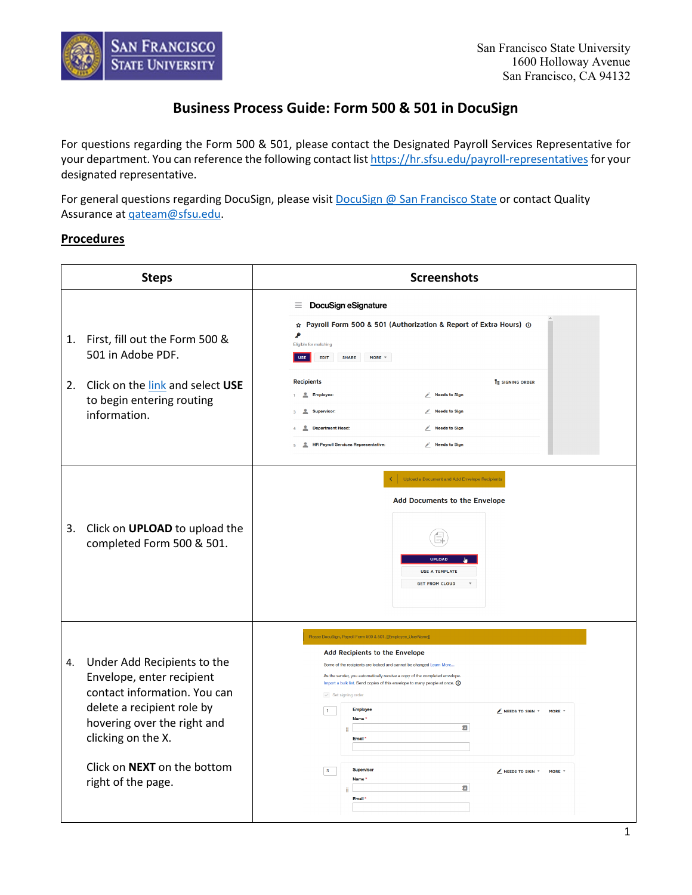

## **Business Process Guide: Form 500 & 501 in DocuSign**

For questions regarding the Form 500 & 501, please contact the Designated Payroll Services Representative for your department. You can reference the following contact list https://hr.sfsu.edu/payroll-representatives</u> for your designated representative.

For general questions regarding DocuSign, please visit **DocuSign @ San Francisco State** or contact Quality Assurance at [qateam@sfsu.edu.](mailto:qateam@sfsu.edu)

## **Procedures**

|    | <b>Steps</b>                                                                                                                                                                                                                            | <b>Screenshots</b>                                                                                                                                                                                                                                                                                                                                                                                                                                                                                                                                                                                              |
|----|-----------------------------------------------------------------------------------------------------------------------------------------------------------------------------------------------------------------------------------------|-----------------------------------------------------------------------------------------------------------------------------------------------------------------------------------------------------------------------------------------------------------------------------------------------------------------------------------------------------------------------------------------------------------------------------------------------------------------------------------------------------------------------------------------------------------------------------------------------------------------|
| 1. | First, fill out the Form 500 &<br>501 in Adobe PDF.<br>2. Click on the link and select USE<br>to begin entering routing<br>information.                                                                                                 | DocuSign eSignature<br>Ξ.<br>☆ Payroll Form 500 & 501 (Authorization & Report of Extra Hours) ①<br>۹<br>Eligible for matching<br><b>USE</b><br>EDIT<br><b>SHARE</b><br>MORE $\Psi$<br><b>Recipients</b><br>E SIGNING ORDER<br>Needs to Sign<br>Employee:<br>Supervisor:<br>Needs to Sign<br><b>Department Head:</b><br>Needs to Sign<br>으<br>$\mathbf{r}$<br><b>HR Payroll Services Representative:</b><br>Needs to Sign                                                                                                                                                                                        |
| 3. | Click on UPLOAD to upload the<br>completed Form 500 & 501.                                                                                                                                                                              | Upload a Document and Add Envelope Recipients<br>Add Documents to the Envelope<br><b>UPLOAD</b><br><b>USE A TEMPLATE</b><br><b>GET FROM CLOUD</b>                                                                                                                                                                                                                                                                                                                                                                                                                                                               |
| 4. | Under Add Recipients to the<br>Envelope, enter recipient<br>contact information. You can<br>delete a recipient role by<br>hovering over the right and<br>clicking on the X.<br>Click on <b>NEXT</b> on the bottom<br>right of the page. | Please DocuSign, Payroll Form 500 & 501, [[Employee_UserName]]<br>Add Recipients to the Envelope<br>Some of the recipients are locked and cannot be changed Learn More<br>As the sender, you automatically receive a copy of the completed envelope.<br>Import a bulk list. Send copies of this envelope to many people at once. (i)<br>$\vee$ Set signing order<br><b>Employee</b><br>$\vert$ 1<br>$\mathbb Z$ NEEDS TO SIGN $\tau$<br>MORE *<br>Name <sup>*</sup><br>ø<br>H<br>Email*<br>Supervisor<br>3 <sub>1</sub><br>$\angle$ NEEDS TO SIGN $\sqrt{ }$<br>MORE 1<br>Name*<br>Ξ<br>H<br>Email <sup>*</sup> |